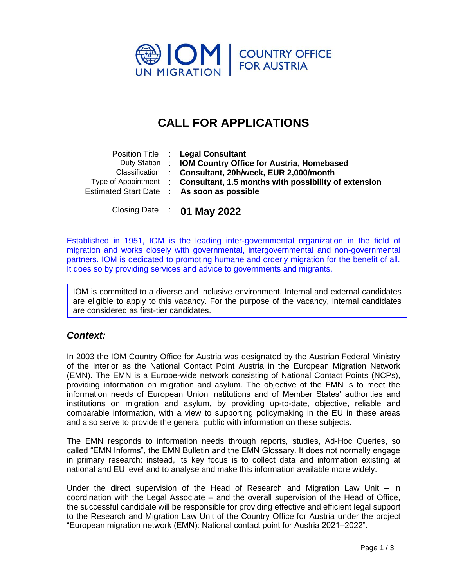

# **CALL FOR APPLICATIONS**

| Classification | Position Title : Legal Consultant<br>Duty Station : IOM Country Office for Austria, Homebased<br>: Consultant, 20h/week, EUR 2,000/month<br>Type of Appointment : Consultant, 1.5 months with possibility of extension<br>Estimated Start Date : As soon as possible |
|----------------|----------------------------------------------------------------------------------------------------------------------------------------------------------------------------------------------------------------------------------------------------------------------|
|                |                                                                                                                                                                                                                                                                      |

Closing Date : **01 May 2022**

Established in 1951, IOM is the leading inter-governmental organization in the field of migration and works closely with governmental, intergovernmental and non-governmental partners. IOM is dedicated to promoting humane and orderly migration for the benefit of all. It does so by providing services and advice to governments and migrants.

IOM is committed to a diverse and inclusive environment. Internal and external candidates are eligible to apply to this vacancy. For the purpose of the vacancy, internal candidates are considered as first-tier candidates.

## *Context:*

In 2003 the IOM Country Office for Austria was designated by the Austrian Federal Ministry of the Interior as the National Contact Point Austria in the European Migration Network (EMN). The EMN is a Europe-wide network consisting of National Contact Points (NCPs), providing information on migration and asylum. The objective of the EMN is to meet the information needs of European Union institutions and of Member States' authorities and institutions on migration and asylum, by providing up-to-date, objective, reliable and comparable information, with a view to supporting policymaking in the EU in these areas and also serve to provide the general public with information on these subjects.

The EMN responds to information needs through reports, studies, Ad-Hoc Queries, so called "EMN Informs", the EMN Bulletin and the EMN Glossary. It does not normally engage in primary research: instead, its key focus is to collect data and information existing at national and EU level and to analyse and make this information available more widely.

Under the direct supervision of the Head of Research and Migration Law Unit – in coordination with the Legal Associate – and the overall supervision of the Head of Office, the successful candidate will be responsible for providing effective and efficient legal support to the Research and Migration Law Unit of the Country Office for Austria under the project "European migration network (EMN): National contact point for Austria 2021–2022".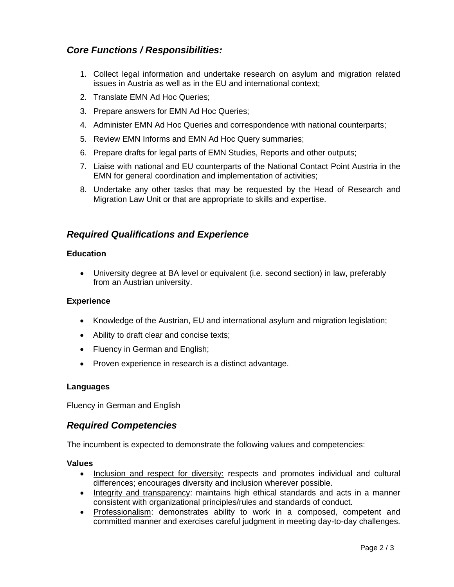# *Core Functions / Responsibilities:*

- 1. Collect legal information and undertake research on asylum and migration related issues in Austria as well as in the EU and international context;
- 2. Translate EMN Ad Hoc Queries;
- 3. Prepare answers for EMN Ad Hoc Queries;
- 4. Administer EMN Ad Hoc Queries and correspondence with national counterparts;
- 5. Review EMN Informs and EMN Ad Hoc Query summaries;
- 6. Prepare drafts for legal parts of EMN Studies, Reports and other outputs;
- 7. Liaise with national and EU counterparts of the National Contact Point Austria in the EMN for general coordination and implementation of activities;
- 8. Undertake any other tasks that may be requested by the Head of Research and Migration Law Unit or that are appropriate to skills and expertise.

## *Required Qualifications and Experience*

#### **Education**

• University degree at BA level or equivalent (i.e. second section) in law, preferably from an Austrian university.

#### **Experience**

- Knowledge of the Austrian, EU and international asylum and migration legislation;
- Ability to draft clear and concise texts;
- Fluency in German and English;
- Proven experience in research is a distinct advantage.

#### **Languages**

Fluency in German and English

## *Required Competencies*

The incumbent is expected to demonstrate the following values and competencies:

#### **Values**

- Inclusion and respect for diversity: respects and promotes individual and cultural differences; encourages diversity and inclusion wherever possible.
- Integrity and transparency: maintains high ethical standards and acts in a manner consistent with organizational principles/rules and standards of conduct.
- Professionalism: demonstrates ability to work in a composed, competent and committed manner and exercises careful judgment in meeting day-to-day challenges.